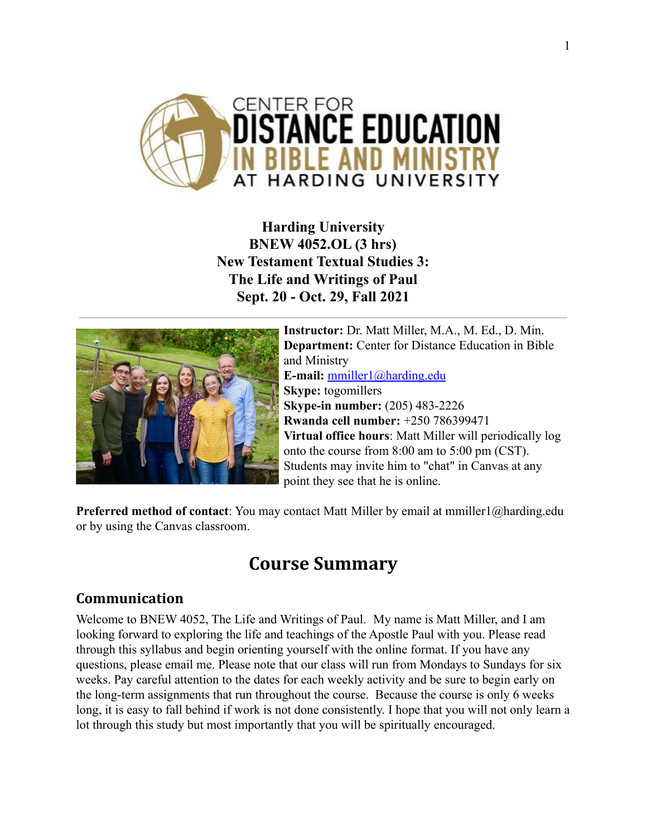

**Harding University BNEW 4052.OL (3 hrs) New Testament Textual Studies 3: The Life and Writings of Paul Sept. 20 - Oct. 29, Fall 2021**



**Instructor:** Dr. Matt Miller, M.A., M. Ed., D. Min. **Department:** Center for Distance Education in Bible and Ministry **E-mail:** [mmiller1@harding.edu](mailto:mmiller1@harding.edu) **Skype:** togomillers **Skype-in number:** (205) 483-2226 **Rwanda cell number:** +250 786399471 **Virtual office hours**: Matt Miller will periodically log onto the course from 8:00 am to 5:00 pm (CST). Students may invite him to "chat" in Canvas at any point they see that he is online.

**Preferred method of contact**: You may contact Matt Miller by email at mmiller1@harding.edu or by using the Canvas classroom.

# **Course Summary**

# **Communication**

Welcome to BNEW 4052, The Life and Writings of Paul. My name is Matt Miller, and I am looking forward to exploring the life and teachings of the Apostle Paul with you. Please read through this syllabus and begin orienting yourself with the online format. If you have any questions, please email me. Please note that our class will run from Mondays to Sundays for six weeks. Pay careful attention to the dates for each weekly activity and be sure to begin early on the long-term assignments that run throughout the course. Because the course is only 6 weeks long, it is easy to fall behind if work is not done consistently. I hope that you will not only learn a lot through this study but most importantly that you will be spiritually encouraged.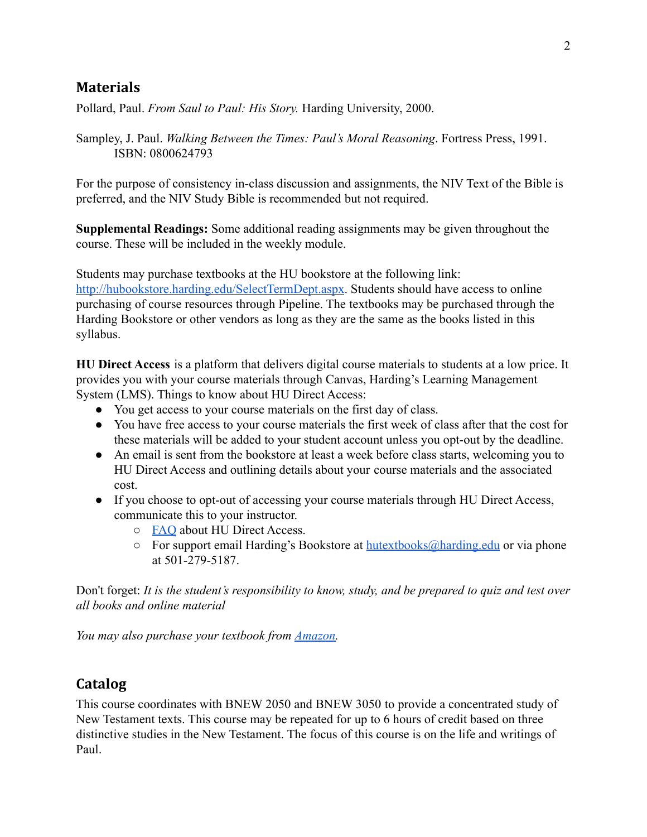## **Materials**

Pollard, Paul. *From Saul to Paul: His Story.* Harding University, 2000.

Sampley, J. Paul. *Walking Between the Times: Paul's Moral Reasoning*. Fortress Press, 1991. ISBN: 0800624793

For the purpose of consistency in-class discussion and assignments, the NIV Text of the Bible is preferred, and the NIV Study Bible is recommended but not required.

**Supplemental Readings:** Some additional reading assignments may be given throughout the course. These will be included in the weekly module.

Students may purchase textbooks at the HU bookstore at the following link: <http://hubookstore.harding.edu/SelectTermDept.aspx>. Students should have access to online purchasing of course resources through Pipeline. The textbooks may be purchased through the Harding Bookstore or other vendors as long as they are the same as the books listed in this syllabus.

**HU Direct Access** is a platform that delivers digital course materials to students at a low price. It provides you with your course materials through Canvas, Harding's Learning Management System (LMS). Things to know about HU Direct Access:

- You get access to your course materials on the first day of class.
- You have free access to your course materials the first week of class after that the cost for these materials will be added to your student account unless you opt-out by the deadline.
- An email is sent from the bookstore at least a week before class starts, welcoming you to HU Direct Access and outlining details about your course materials and the associated cost.
- If you choose to opt-out of accessing your course materials through HU Direct Access, communicate this to your instructor.
	- [FAQ](https://drive.google.com/file/d/1hPrNJgpgHCyjLotWhfGvKBU8P4VdTFB8/view?usp=sharing) about HU Direct Access.
	- For support email Harding's Bookstore at [hutextbooks@harding.edu](mailto:hutextbooks@harding.edu) or via phone at 501-279-5187.

Don't forget: *It is the student's responsibility to know, study, and be prepared to quiz and test over all books and online material*

*You may also purchase your textbook from [Amazon.](https://www.amazon.com/New-Used-Textbooks-Books/b?node=465600&ref=sxts_snpl_5_1_3ccd1565-66df-4f57-8bf6-634b339655a7&qid=1550095169&pd_rd_w=toHxw&pf_rd_p=3ccd1565-66df-4f57-8bf6-634b339655a7&pf_rd_r=DJ19E92HZN369JFX3QE5&pd_rd_r=dd5fa3d2-3ce6-449e-83a2-eb42460d31af&pd_rd_wg=84i18)*

# **Catalog**

This course coordinates with BNEW 2050 and BNEW 3050 to provide a concentrated study of New Testament texts. This course may be repeated for up to 6 hours of credit based on three distinctive studies in the New Testament. The focus of this course is on the life and writings of Paul.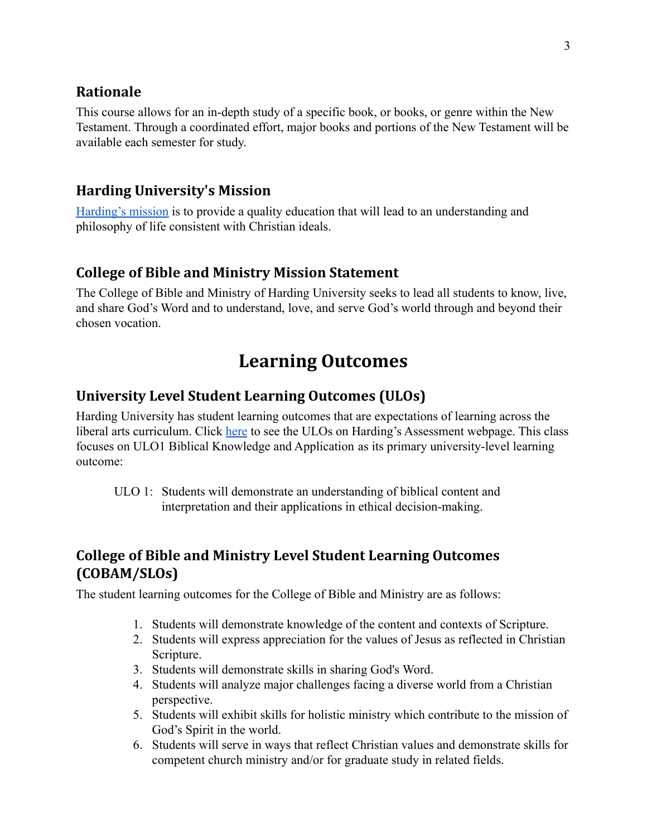## **Rationale**

This course allows for an in-depth study of a specific book, or books, or genre within the New Testament. Through a coordinated effort, major books and portions of the New Testament will be available each semester for study.

## **Harding University's Mission**

[Harding's mission](https://www.harding.edu/about/mission) is to provide a quality education that will lead to an understanding and philosophy of life consistent with Christian ideals.

## **College of Bible and Ministry Mission Statement**

The College of Bible and Ministry of Harding University seeks to lead all students to know, live, and share God's Word and to understand, love, and serve God's world through and beyond their chosen vocation.

# **Learning Outcomes**

## **University Level Student Learning Outcomes (ULOs)**

Harding University has student learning outcomes that are expectations of learning across the liberal arts curriculum. Click [here](https://www.harding.edu/provost/assessment) to see the ULOs on Harding's Assessment webpage. This class focuses on ULO1 Biblical Knowledge and Application as its primary university-level learning outcome:

ULO 1: Students will demonstrate an understanding of biblical content and interpretation and their applications in ethical decision-making.

# **College of Bible and Ministry Level Student Learning Outcomes (COBAM/SLOs)**

The student learning outcomes for the College of Bible and Ministry are as follows:

- 1. Students will demonstrate knowledge of the content and contexts of Scripture.
- 2. Students will express appreciation for the values of Jesus as reflected in Christian Scripture.
- 3. Students will demonstrate skills in sharing God's Word.
- 4. Students will analyze major challenges facing a diverse world from a Christian perspective.
- 5. Students will exhibit skills for holistic ministry which contribute to the mission of God's Spirit in the world.
- 6. Students will serve in ways that reflect Christian values and demonstrate skills for competent church ministry and/or for graduate study in related fields.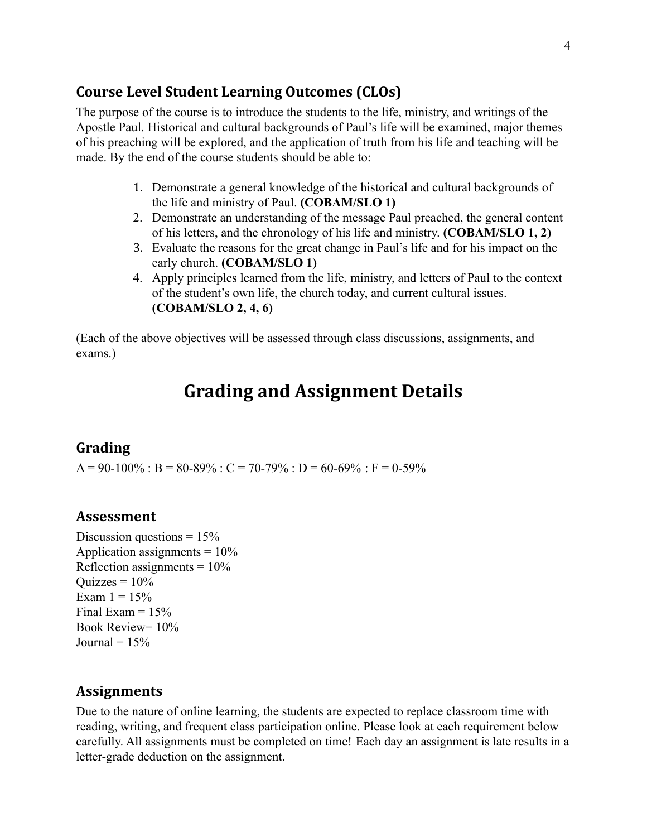#### **Course Level Student Learning Outcomes (CLOs)**

The purpose of the course is to introduce the students to the life, ministry, and writings of the Apostle Paul. Historical and cultural backgrounds of Paul's life will be examined, major themes of his preaching will be explored, and the application of truth from his life and teaching will be made. By the end of the course students should be able to:

- 1. Demonstrate a general knowledge of the historical and cultural backgrounds of the life and ministry of Paul. **(COBAM/SLO 1)**
- 2. Demonstrate an understanding of the message Paul preached, the general content of his letters, and the chronology of his life and ministry. **(COBAM/SLO 1, 2)**
- 3. Evaluate the reasons for the great change in Paul's life and for his impact on the early church. **(COBAM/SLO 1)**
- 4. Apply principles learned from the life, ministry, and letters of Paul to the context of the student's own life, the church today, and current cultural issues. **(COBAM/SLO 2, 4, 6)**

(Each of the above objectives will be assessed through class discussions, assignments, and exams.)

# **Grading and Assignment Details**

#### **Grading**

 $A = 90-100\%$ :  $B = 80-89\%$ :  $C = 70-79\%$ :  $D = 60-69\%$ :  $F = 0-59\%$ 

#### **Assessment**

Discussion questions =  $15\%$ Application assignments  $= 10\%$ Reflection assignments  $= 10\%$ Ouizzes  $= 10\%$ Exam  $1 = 15\%$ Final Exam  $= 15\%$ Book Review= 10% Journal =  $15%$ 

#### **Assignments**

Due to the nature of online learning, the students are expected to replace classroom time with reading, writing, and frequent class participation online. Please look at each requirement below carefully. All assignments must be completed on time! Each day an assignment is late results in a letter-grade deduction on the assignment.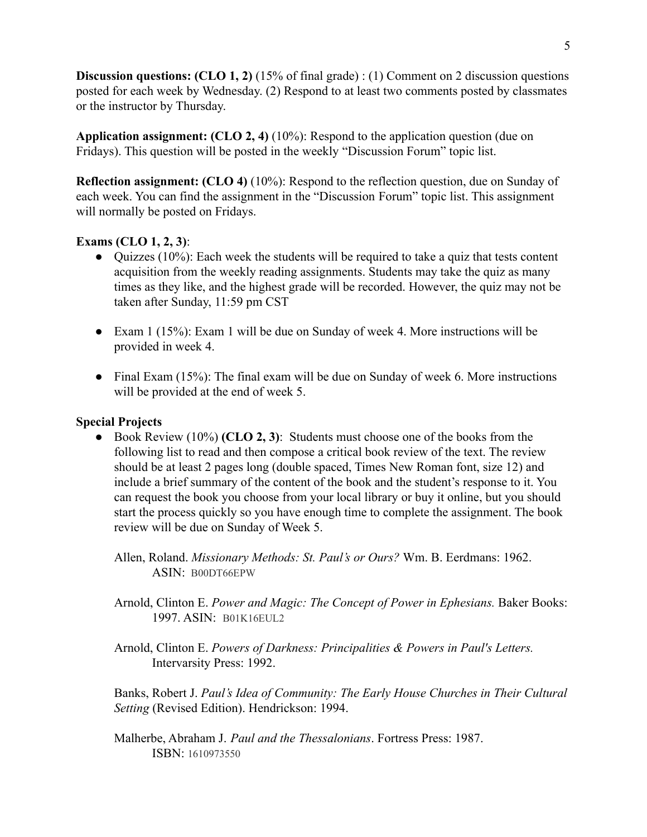**Discussion questions: (CLO 1, 2)** (15% of final grade) : (1) Comment on 2 discussion questions posted for each week by Wednesday. (2) Respond to at least two comments posted by classmates or the instructor by Thursday.

**Application assignment: (CLO 2, 4)** (10%): Respond to the application question (due on Fridays). This question will be posted in the weekly "Discussion Forum" topic list.

**Reflection assignment: (CLO 4)** (10%): Respond to the reflection question, due on Sunday of each week. You can find the assignment in the "Discussion Forum" topic list. This assignment will normally be posted on Fridays.

#### **Exams (CLO 1, 2, 3)**:

- Quizzes (10%): Each week the students will be required to take a quiz that tests content acquisition from the weekly reading assignments. Students may take the quiz as many times as they like, and the highest grade will be recorded. However, the quiz may not be taken after Sunday, 11:59 pm CST
- Exam 1 (15%): Exam 1 will be due on Sunday of week 4. More instructions will be provided in week 4.
- Final Exam (15%): The final exam will be due on Sunday of week 6. More instructions will be provided at the end of week 5.

#### **Special Projects**

- Book Review (10%) **(CLO 2, 3)**: Students must choose one of the books from the following list to read and then compose a critical book review of the text. The review should be at least 2 pages long (double spaced, Times New Roman font, size 12) and include a brief summary of the content of the book and the student's response to it. You can request the book you choose from your local library or buy it online, but you should start the process quickly so you have enough time to complete the assignment. The book review will be due on Sunday of Week 5.
	- Allen, Roland. *Missionary Methods: St. Paul's or Ours?* Wm. B. Eerdmans: 1962. ASIN: B00DT66EPW
	- Arnold, Clinton E. *Power and Magic: The Concept of Power in Ephesians.* Baker Books: 1997. ASIN: B01K16EUL2
	- Arnold, Clinton E. *Powers of Darkness: Principalities & Powers in Paul's Letters.* Intervarsity Press: 1992.

Banks, Robert J. *Paul's Idea of Community: The Early House Churches in Their Cultural Setting* (Revised Edition). Hendrickson: 1994.

Malherbe, Abraham J. *Paul and the Thessalonians*. Fortress Press: 1987. ISBN: 1610973550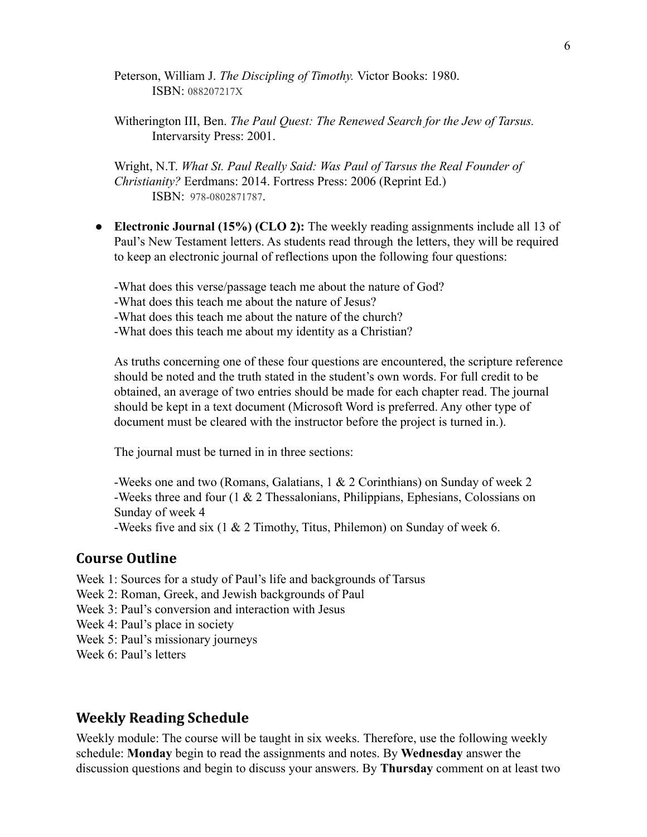Peterson, William J. *The Discipling of Timothy.* Victor Books: 1980. ISBN: 088207217X

Witherington III, Ben. *The Paul Quest: The Renewed Search for the Jew of Tarsus.* Intervarsity Press: 2001.

Wright, N.T. *What St. Paul Really Said: Was Paul of Tarsus the Real Founder of Christianity?* Eerdmans: 2014. Fortress Press: 2006 (Reprint Ed.) ISBN: 978-0802871787.

**● Electronic Journal (15%) (CLO 2):** The weekly reading assignments include all 13 of Paul's New Testament letters. As students read through the letters, they will be required to keep an electronic journal of reflections upon the following four questions:

-What does this verse/passage teach me about the nature of God?

-What does this teach me about the nature of Jesus?

-What does this teach me about the nature of the church?

-What does this teach me about my identity as a Christian?

As truths concerning one of these four questions are encountered, the scripture reference should be noted and the truth stated in the student's own words. For full credit to be obtained, an average of two entries should be made for each chapter read. The journal should be kept in a text document (Microsoft Word is preferred. Any other type of document must be cleared with the instructor before the project is turned in.).

The journal must be turned in in three sections:

-Weeks one and two (Romans, Galatians, 1 & 2 Corinthians) on Sunday of week 2 -Weeks three and four (1 & 2 Thessalonians, Philippians, Ephesians, Colossians on Sunday of week 4

-Weeks five and six (1 & 2 Timothy, Titus, Philemon) on Sunday of week 6.

#### **Course Outline**

Week 1: Sources for a study of Paul's life and backgrounds of Tarsus

- Week 2: Roman, Greek, and Jewish backgrounds of Paul
- Week 3: Paul's conversion and interaction with Jesus
- Week 4: Paul's place in society
- Week 5: Paul's missionary journeys

Week 6: Paul's letters

## **Weekly Reading Schedule**

Weekly module: The course will be taught in six weeks. Therefore, use the following weekly schedule: **Monday** begin to read the assignments and notes. By **Wednesday** answer the discussion questions and begin to discuss your answers. By **Thursday** comment on at least two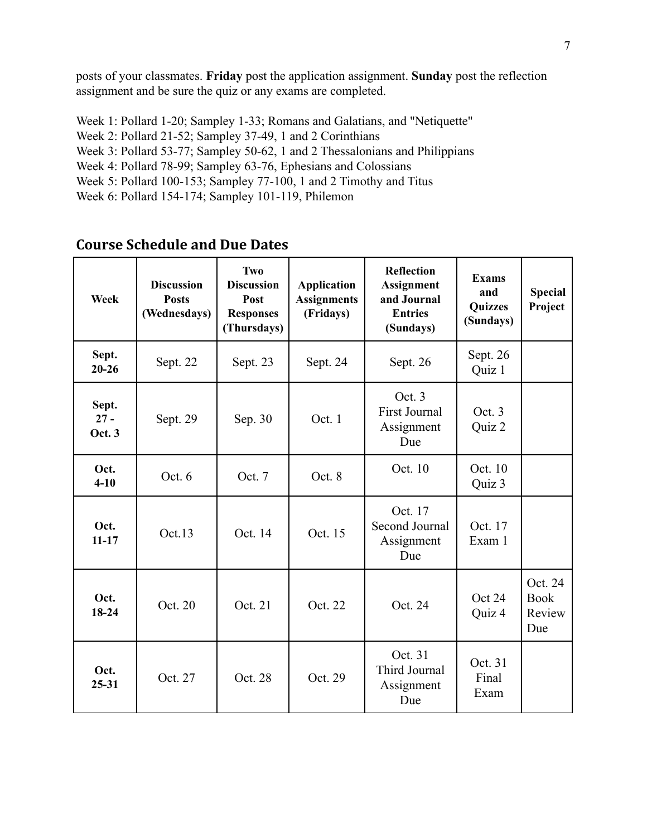posts of your classmates. **Friday** post the application assignment. **Sunday** post the reflection assignment and be sure the quiz or any exams are completed.

Week 1: Pollard 1-20; Sampley 1-33; Romans and Galatians, and "Netiquette" Week 2: Pollard 21-52; Sampley 37-49, 1 and 2 Corinthians Week 3: Pollard 53-77; Sampley 50-62, 1 and 2 Thessalonians and Philippians Week 4: Pollard 78-99; Sampley 63-76, Ephesians and Colossians Week 5: Pollard 100-153; Sampley 77-100, 1 and 2 Timothy and Titus Week 6: Pollard 154-174; Sampley 101-119, Philemon

| Week                             | <b>Discussion</b><br><b>Posts</b><br>(Wednesdays) | Two<br><b>Discussion</b><br>Post<br><b>Responses</b><br>(Thursdays) | <b>Application</b><br><b>Assignments</b><br>(Fridays) | <b>Reflection</b><br><b>Assignment</b><br>and Journal<br><b>Entries</b><br>(Sundays) | <b>Exams</b><br>and<br><b>Quizzes</b><br>(Sundays) | <b>Special</b><br>Project               |
|----------------------------------|---------------------------------------------------|---------------------------------------------------------------------|-------------------------------------------------------|--------------------------------------------------------------------------------------|----------------------------------------------------|-----------------------------------------|
| Sept.<br>$20 - 26$               | Sept. 22                                          | Sept. 23                                                            | Sept. 24                                              | Sept. 26                                                                             | Sept. 26<br>Quiz 1                                 |                                         |
| Sept.<br>$27 -$<br><b>Oct. 3</b> | Sept. 29                                          | Sep. 30                                                             | Oct. 1                                                | Oct. 3<br><b>First Journal</b><br>Assignment<br>Due                                  | Oct. 3<br>Quiz 2                                   |                                         |
| Oct.<br>$4 - 10$                 | Oct. $6$                                          | Oct. 7                                                              | Oct. 8                                                | Oct. 10                                                                              | Oct. 10<br>Quiz 3                                  |                                         |
| Oct.<br>$11 - 17$                | Oct.13                                            | Oct. 14                                                             | Oct. 15                                               | Oct. 17<br>Second Journal<br>Assignment<br>Due                                       | Oct. 17<br>Exam 1                                  |                                         |
| Oct.<br>$18-24$                  | Oct. 20                                           | Oct. 21                                                             | Oct. 22                                               | Oct. 24                                                                              | Oct 24<br>Quiz 4                                   | Oct. 24<br><b>Book</b><br>Review<br>Due |
| Oct.<br>$25 - 31$                | Oct. 27                                           | Oct. 28                                                             | Oct. 29                                               | Oct. 31<br>Third Journal<br>Assignment<br>Due                                        | Oct. 31<br>Final<br>Exam                           |                                         |

### **Course Schedule and Due Dates**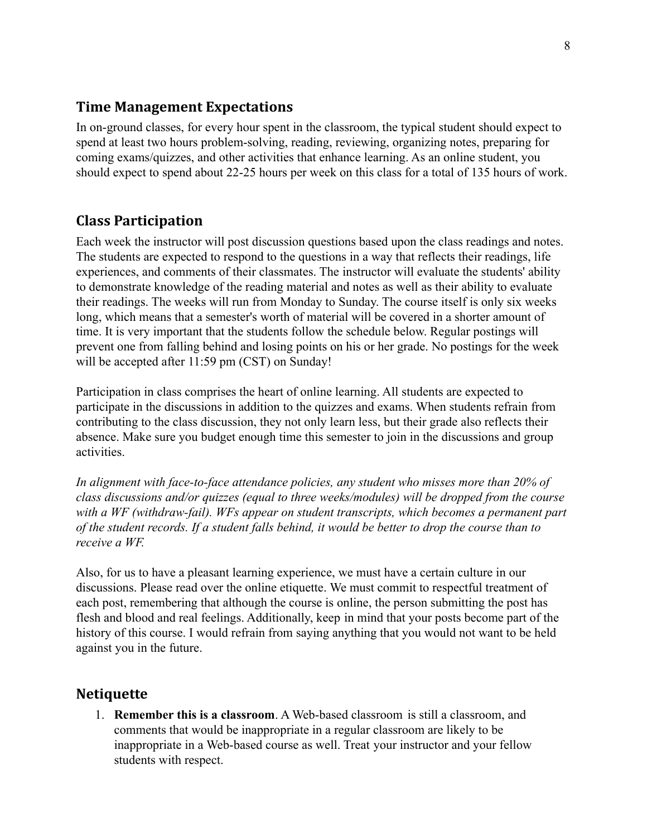### **Time Management Expectations**

In on-ground classes, for every hour spent in the classroom, the typical student should expect to spend at least two hours problem-solving, reading, reviewing, organizing notes, preparing for coming exams/quizzes, and other activities that enhance learning. As an online student, you should expect to spend about 22-25 hours per week on this class for a total of 135 hours of work.

## **Class Participation**

Each week the instructor will post discussion questions based upon the class readings and notes. The students are expected to respond to the questions in a way that reflects their readings, life experiences, and comments of their classmates. The instructor will evaluate the students' ability to demonstrate knowledge of the reading material and notes as well as their ability to evaluate their readings. The weeks will run from Monday to Sunday. The course itself is only six weeks long, which means that a semester's worth of material will be covered in a shorter amount of time. It is very important that the students follow the schedule below. Regular postings will prevent one from falling behind and losing points on his or her grade. No postings for the week will be accepted after 11:59 pm (CST) on Sunday!

Participation in class comprises the heart of online learning. All students are expected to participate in the discussions in addition to the quizzes and exams. When students refrain from contributing to the class discussion, they not only learn less, but their grade also reflects their absence. Make sure you budget enough time this semester to join in the discussions and group activities.

*In alignment with face-to-face attendance policies, any student who misses more than 20% of class discussions and/or quizzes (equal to three weeks/modules) will be dropped from the course with a WF (withdraw-fail). WFs appear on student transcripts, which becomes a permanent part of the student records. If a student falls behind, it would be better to drop the course than to receive a WF.*

Also, for us to have a pleasant learning experience, we must have a certain culture in our discussions. Please read over the online etiquette. We must commit to respectful treatment of each post, remembering that although the course is online, the person submitting the post has flesh and blood and real feelings. Additionally, keep in mind that your posts become part of the history of this course. I would refrain from saying anything that you would not want to be held against you in the future.

### **Netiquette**

1. **Remember this is a classroom**. A Web-based classroom is still a classroom, and comments that would be inappropriate in a regular classroom are likely to be inappropriate in a Web-based course as well. Treat your instructor and your fellow students with respect.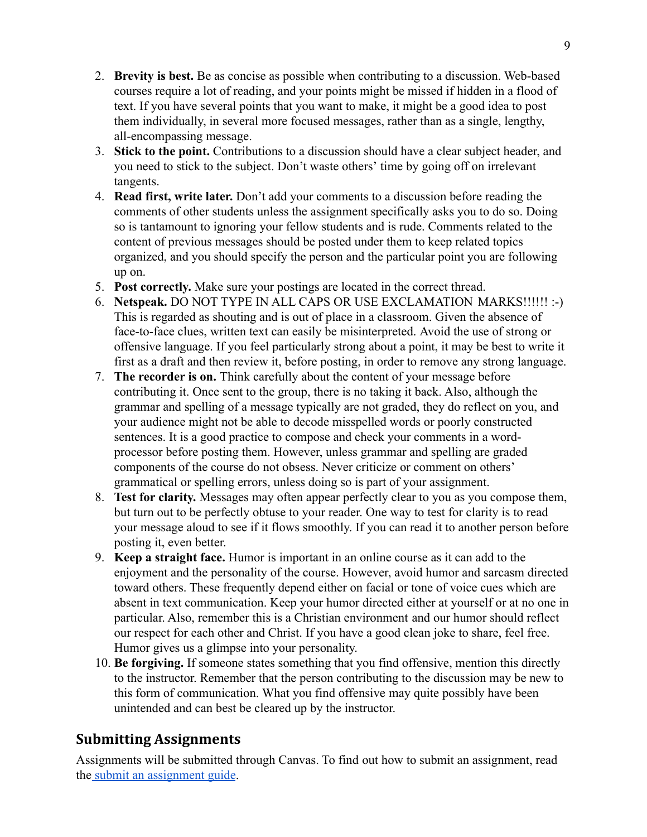- 2. **Brevity is best.** Be as concise as possible when contributing to a discussion. Web-based courses require a lot of reading, and your points might be missed if hidden in a flood of text. If you have several points that you want to make, it might be a good idea to post them individually, in several more focused messages, rather than as a single, lengthy, all-encompassing message.
- 3. **Stick to the point.** Contributions to a discussion should have a clear subject header, and you need to stick to the subject. Don't waste others' time by going off on irrelevant tangents.
- 4. **Read first, write later.** Don't add your comments to a discussion before reading the comments of other students unless the assignment specifically asks you to do so. Doing so is tantamount to ignoring your fellow students and is rude. Comments related to the content of previous messages should be posted under them to keep related topics organized, and you should specify the person and the particular point you are following up on.
- 5. **Post correctly.** Make sure your postings are located in the correct thread.
- 6. **Netspeak.** DO NOT TYPE IN ALL CAPS OR USE EXCLAMATION MARKS!!!!!! :-) This is regarded as shouting and is out of place in a classroom. Given the absence of face-to-face clues, written text can easily be misinterpreted. Avoid the use of strong or offensive language. If you feel particularly strong about a point, it may be best to write it first as a draft and then review it, before posting, in order to remove any strong language.
- 7. **The recorder is on.** Think carefully about the content of your message before contributing it. Once sent to the group, there is no taking it back. Also, although the grammar and spelling of a message typically are not graded, they do reflect on you, and your audience might not be able to decode misspelled words or poorly constructed sentences. It is a good practice to compose and check your comments in a wordprocessor before posting them. However, unless grammar and spelling are graded components of the course do not obsess. Never criticize or comment on others' grammatical or spelling errors, unless doing so is part of your assignment.
- 8. **Test for clarity.** Messages may often appear perfectly clear to you as you compose them, but turn out to be perfectly obtuse to your reader. One way to test for clarity is to read your message aloud to see if it flows smoothly. If you can read it to another person before posting it, even better.
- 9. **Keep a straight face.** Humor is important in an online course as it can add to the enjoyment and the personality of the course. However, avoid humor and sarcasm directed toward others. These frequently depend either on facial or tone of voice cues which are absent in text communication. Keep your humor directed either at yourself or at no one in particular. Also, remember this is a Christian environment and our humor should reflect our respect for each other and Christ. If you have a good clean joke to share, feel free. Humor gives us a glimpse into your personality.
- 10. **Be forgiving.** If someone states something that you find offensive, mention this directly to the instructor. Remember that the person contributing to the discussion may be new to this form of communication. What you find offensive may quite possibly have been unintended and can best be cleared up by the instructor.

# **Submitting Assignments**

Assignments will be submitted through Canvas. To find out how to submit an assignment, read the [submit an assignment guide](https://community.canvaslms.com/t5/Student-Guide/How-do-I-submit-an-online-assignment/ta-p/503).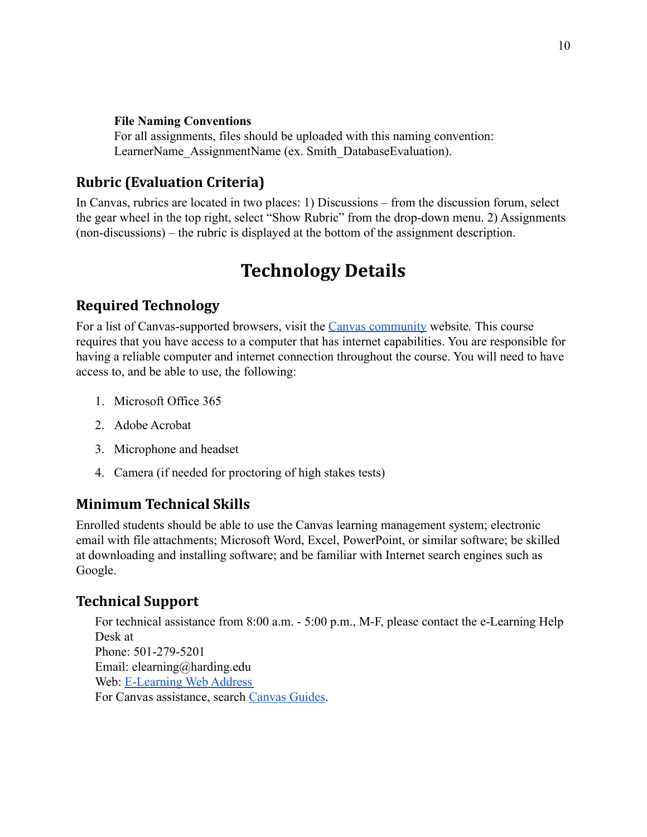#### **File Naming Conventions**

For all assignments, files should be uploaded with this naming convention: LearnerName\_AssignmentName (ex. Smith\_DatabaseEvaluation).

## **Rubric (Evaluation Criteria)**

In Canvas, rubrics are located in two places: 1) Discussions – from the discussion forum, select the gear wheel in the top right, select "Show Rubric" from the drop-down menu. 2) Assignments (non-discussions) – the rubric is displayed at the bottom of the assignment description.

# **Technology Details**

## **Required Technology**

For a list of Canvas-supported browsers, visit the [Canvas community](https://community.canvaslms.com/docs/doc-10720) website*.* This course requires that you have access to a computer that has internet capabilities. You are responsible for having a reliable computer and internet connection throughout the course. You will need to have access to, and be able to use, the following:

- 1. Microsoft Office 365
- 2. Adobe Acrobat
- 3. Microphone and headset
- 4. Camera (if needed for proctoring of high stakes tests)

### **Minimum Technical Skills**

Enrolled students should be able to use the Canvas learning management system; electronic email with file attachments; Microsoft Word, Excel, PowerPoint, or similar software; be skilled at downloading and installing software; and be familiar with Internet search engines such as Google.

## **Technical Support**

For technical assistance from 8:00 a.m. - 5:00 p.m., M-F, please contact the e-Learning Help Desk at Phone: 501-279-5201 Email: elearning@harding.edu Web: [E-Learning Web Address](http://www.harding.edu/elm) For Canvas assistance, search [Canvas Guides.](https://guides.instructure.com/m/8470)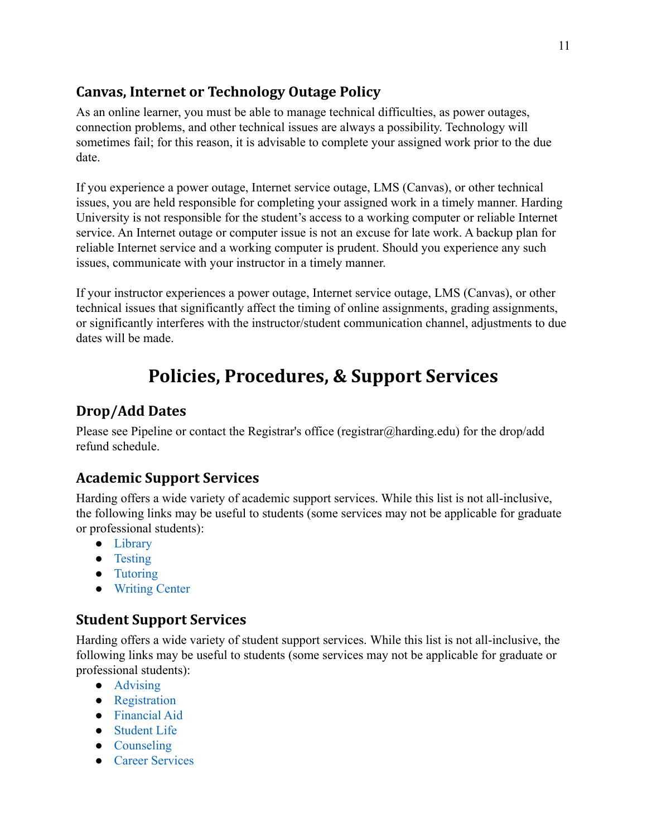# **Canvas, Internet or Technology Outage Policy**

As an online learner, you must be able to manage technical difficulties, as power outages, connection problems, and other technical issues are always a possibility. Technology will sometimes fail; for this reason, it is advisable to complete your assigned work prior to the due date.

If you experience a power outage, Internet service outage, LMS (Canvas), or other technical issues, you are held responsible for completing your assigned work in a timely manner. Harding University is not responsible for the student's access to a working computer or reliable Internet service. An Internet outage or computer issue is not an excuse for late work. A backup plan for reliable Internet service and a working computer is prudent. Should you experience any such issues, communicate with your instructor in a timely manner.

If your instructor experiences a power outage, Internet service outage, LMS (Canvas), or other technical issues that significantly affect the timing of online assignments, grading assignments, or significantly interferes with the instructor/student communication channel, adjustments to due dates will be made.

# **Policies, Procedures, & Support Services**

# **Drop/Add Dates**

Please see Pipeline or contact the Registrar's office (registrar@harding.edu) for the drop/add refund schedule.

# **Academic Support Services**

Harding offers a wide variety of academic support services. While this list is not all-inclusive, the following links may be useful to students (some services may not be applicable for graduate or professional students):

- [Library](https://library.harding.edu/index)
- [Testing](https://www.harding.edu/testing)
- [Tutoring](https://www.harding.edu/academics/academic-support/arc)
- [Writing Center](https://www.harding.edu/academics/colleges-departments/arts-humanities/english/writing-lab)

# **Student Support Services**

Harding offers a wide variety of student support services. While this list is not all-inclusive, the following links may be useful to students (some services may not be applicable for graduate or professional students):

- [Advising](https://catalog.harding.edu/preview_program.php?catoid=46&poid=6988&hl=%22advising%22&returnto=search)
- [Registration](https://www.harding.edu/registrar/registration)
- [Financial Aid](https://www.harding.edu/finaid)
- [Student Life](https://www.harding.edu/student-life)
- [Counseling](https://www.harding.edu/academics/academic-support/counseling-center)
- [Career Services](https://www.harding.edu/academics/academic-support/career)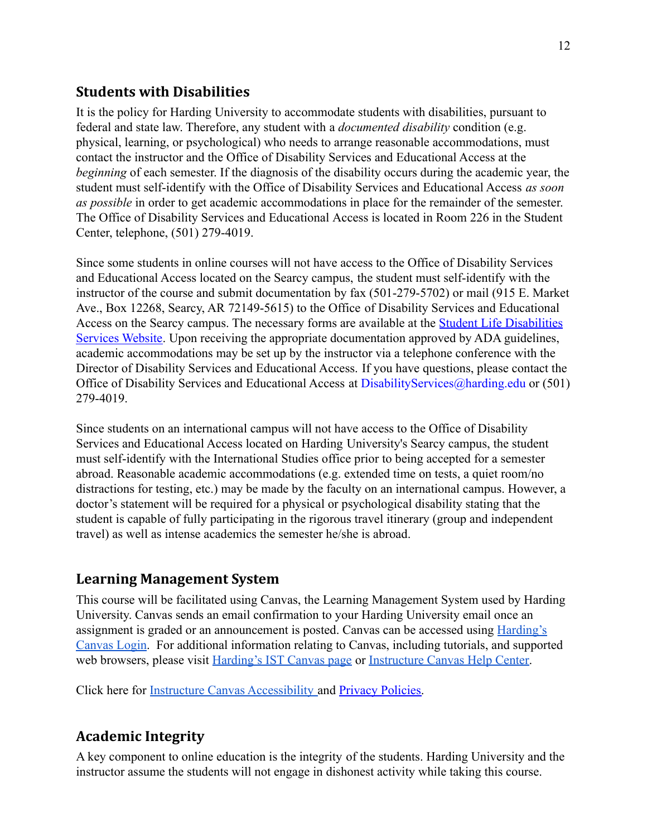## **Students with Disabilities**

It is the policy for Harding University to accommodate students with disabilities, pursuant to federal and state law. Therefore, any student with a *documented disability* condition (e.g. physical, learning, or psychological) who needs to arrange reasonable accommodations, must contact the instructor and the Office of Disability Services and Educational Access at the *beginning* of each semester. If the diagnosis of the disability occurs during the academic year, the student must self-identify with the Office of Disability Services and Educational Access *as soon as possible* in order to get academic accommodations in place for the remainder of the semester. The Office of Disability Services and Educational Access is located in Room 226 in the Student Center, telephone, (501) 279-4019.

Since some students in online courses will not have access to the Office of Disability Services and Educational Access located on the Searcy campus, the student must self-identify with the instructor of the course and submit documentation by fax (501-279-5702) or mail (915 E. Market Ave., Box 12268, Searcy, AR 72149-5615) to the Office of Disability Services and Educational Access on the Searcy campus. The necessary forms are available at the [Student Life Disabilities](https://www.harding.edu/student-life/disabilityservices) [Services Website](https://www.harding.edu/student-life/disabilityservices). Upon receiving the appropriate documentation approved by ADA guidelines, academic accommodations may be set up by the instructor via a telephone conference with the Director of Disability Services and Educational Access. If you have questions, please contact the Office of Disability Services and Educational Access at DisabilityServices@harding.edu or (501) 279-4019.

Since students on an international campus will not have access to the Office of Disability Services and Educational Access located on Harding University's Searcy campus, the student must self-identify with the International Studies office prior to being accepted for a semester abroad. Reasonable academic accommodations (e.g. extended time on tests, a quiet room/no distractions for testing, etc.) may be made by the faculty on an international campus. However, a doctor's statement will be required for a physical or psychological disability stating that the student is capable of fully participating in the rigorous travel itinerary (group and independent travel) as well as intense academics the semester he/she is abroad.

## **Learning Management System**

This course will be facilitated using Canvas, the Learning Management System used by Harding University. Canvas sends an email confirmation to your Harding University email once an assignment is graded or an announcement is posted. Canvas can be accessed using [Harding's](https://harding.instructure.com/login) [Canvas Login.](https://harding.instructure.com/login) For additional information relating to Canvas, including tutorials, and supported web browsers, please visit [Harding's IST Canvas page](https://www.harding.edu/ist/canvas) or [Instructure Canvas Help Center.](https://community.canvaslms.com/docs/DOC-10461-supported-web-browsers)

Click here for [Instructure Canvas Accessibility](https://www.canvaslms.com/accessibility) and [Privacy Policies.](https://www.instructure.com/policies/privacy)

## **Academic Integrity**

A key component to online education is the integrity of the students. Harding University and the instructor assume the students will not engage in dishonest activity while taking this course.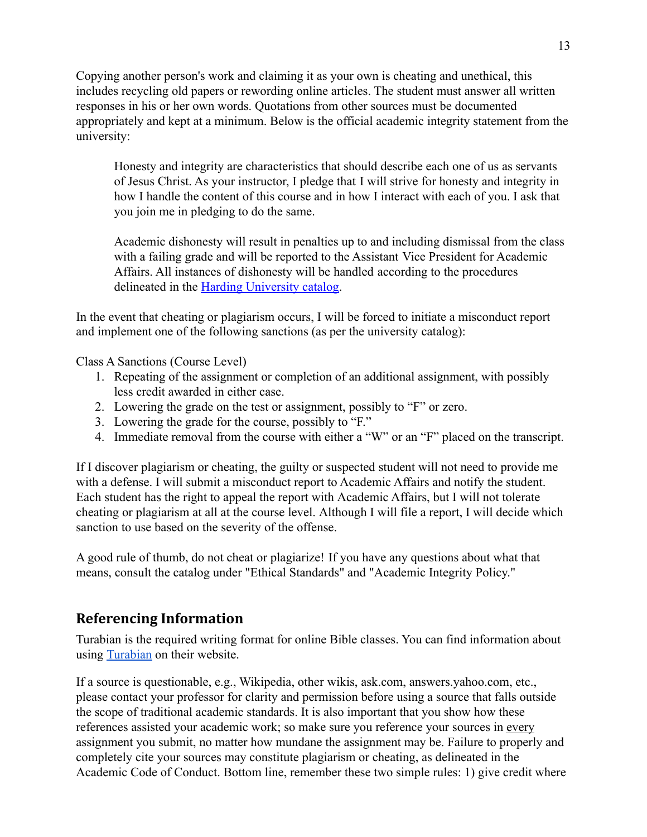Copying another person's work and claiming it as your own is cheating and unethical, this includes recycling old papers or rewording online articles. The student must answer all written responses in his or her own words. Quotations from other sources must be documented appropriately and kept at a minimum. Below is the official academic integrity statement from the university:

Honesty and integrity are characteristics that should describe each one of us as servants of Jesus Christ. As your instructor, I pledge that I will strive for honesty and integrity in how I handle the content of this course and in how I interact with each of you. I ask that you join me in pledging to do the same.

Academic dishonesty will result in penalties up to and including dismissal from the class with a failing grade and will be reported to the Assistant Vice President for Academic Affairs. All instances of dishonesty will be handled according to the procedures delineated in the [Harding University catalog.](https://catalog.harding.edu/content.php?catoid=46&navoid=3659)

In the event that cheating or plagiarism occurs, I will be forced to initiate a misconduct report and implement one of the following sanctions (as per the university catalog):

Class A Sanctions (Course Level)

- 1. Repeating of the assignment or completion of an additional assignment, with possibly less credit awarded in either case.
- 2. Lowering the grade on the test or assignment, possibly to "F" or zero.
- 3. Lowering the grade for the course, possibly to "F."
- 4. Immediate removal from the course with either a "W" or an "F" placed on the transcript.

If I discover plagiarism or cheating, the guilty or suspected student will not need to provide me with a defense. I will submit a misconduct report to Academic Affairs and notify the student. Each student has the right to appeal the report with Academic Affairs, but I will not tolerate cheating or plagiarism at all at the course level. Although I will file a report, I will decide which sanction to use based on the severity of the offense.

A good rule of thumb, do not cheat or plagiarize! If you have any questions about what that means, consult the catalog under "Ethical Standards" and "Academic Integrity Policy."

## **Referencing Information**

Turabian is the required writing format for online Bible classes. You can find information about using [Turabian](https://www.chicagomanualofstyle.org/turabian/citation-guide.html) on their website.

If a source is questionable, e.g., Wikipedia, other wikis, ask.com, answers.yahoo.com, etc., please contact your professor for clarity and permission before using a source that falls outside the scope of traditional academic standards. It is also important that you show how these references assisted your academic work; so make sure you reference your sources in every assignment you submit, no matter how mundane the assignment may be. Failure to properly and completely cite your sources may constitute plagiarism or cheating, as delineated in the Academic Code of Conduct. Bottom line, remember these two simple rules: 1) give credit where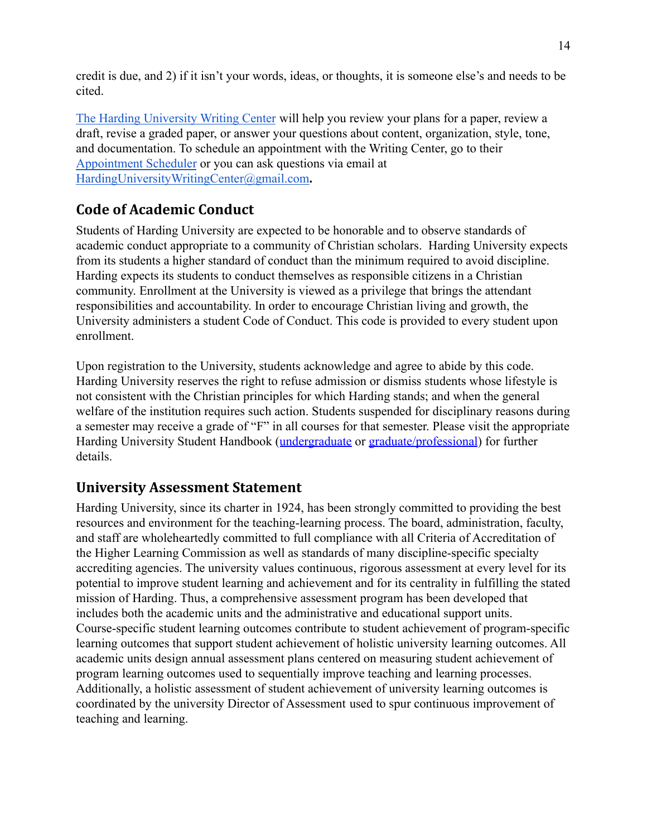credit is due, and 2) if it isn't your words, ideas, or thoughts, it is someone else's and needs to be cited.

[The Harding University Writing Center](https://www.harding.edu/academics/colleges-departments/arts-humanities/english/writing-lab) will help you review your plans for a paper, review a draft, revise a graded paper, or answer your questions about content, organization, style, tone, and documentation. To schedule an appointment with the Writing Center, go to their [Appointment Scheduler](https://harding.mywconline.com/) or you can ask questions via email at [HardingUniversityWritingCenter@gmail.com](mailto:HardingUniversityWritingCenter@gmail.com)**.**

# **Code of Academic Conduct**

Students of Harding University are expected to be honorable and to observe standards of academic conduct appropriate to a community of Christian scholars. Harding University expects from its students a higher standard of conduct than the minimum required to avoid discipline. Harding expects its students to conduct themselves as responsible citizens in a Christian community. Enrollment at the University is viewed as a privilege that brings the attendant responsibilities and accountability. In order to encourage Christian living and growth, the University administers a student Code of Conduct. This code is provided to every student upon enrollment.

Upon registration to the University, students acknowledge and agree to abide by this code. Harding University reserves the right to refuse admission or dismiss students whose lifestyle is not consistent with the Christian principles for which Harding stands; and when the general welfare of the institution requires such action. Students suspended for disciplinary reasons during a semester may receive a grade of "F" in all courses for that semester. Please visit the appropriate Harding University Student Handbook ([undergraduate](https://www.harding.edu/assets/www/student-life/pdf/student_handbook.pdf) or [graduate/professional](https://www.harding.edu/assets/www/academics/colleges-departments/graduate-professional/pdf/graduateprofessional_handbook.pdf)) for further details.

# **University Assessment Statement**

Harding University, since its charter in 1924, has been strongly committed to providing the best resources and environment for the teaching-learning process. The board, administration, faculty, and staff are wholeheartedly committed to full compliance with all Criteria of Accreditation of the Higher Learning Commission as well as standards of many discipline-specific specialty accrediting agencies. The university values continuous, rigorous assessment at every level for its potential to improve student learning and achievement and for its centrality in fulfilling the stated mission of Harding. Thus, a comprehensive assessment program has been developed that includes both the academic units and the administrative and educational support units. Course-specific student learning outcomes contribute to student achievement of program-specific learning outcomes that support student achievement of holistic university learning outcomes. All academic units design annual assessment plans centered on measuring student achievement of program learning outcomes used to sequentially improve teaching and learning processes. Additionally, a holistic assessment of student achievement of university learning outcomes is coordinated by the university Director of Assessment used to spur continuous improvement of teaching and learning.